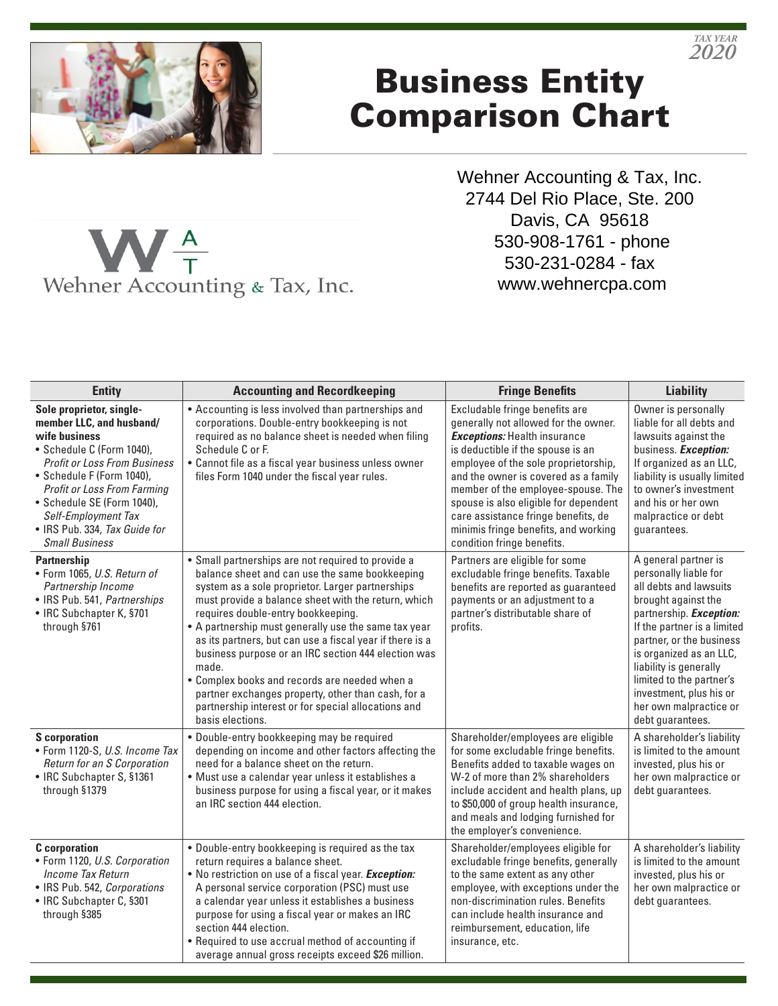

## Business Entity Comparison Chart

Wehner Accounting & Tax, Inc. 2744 Del Rio Place, Ste. 200 Davis, CA 95618 530-908-1761 - phone 530-231-0284 - fax www.wehnercpa.com

| <b>Entity</b>                                                                                                                                                                                                                                                                                                               | <b>Accounting and Recordkeeping</b>                                                                                                                                                                                                                                                                                                                                                                                                                                                                                                                                                                                         | <b>Fringe Benefits</b>                                                                                                                                                                                                                                                                                                                                                                                                         | <b>Liability</b>                                                                                                                                                                                                                                                                                                                                      |
|-----------------------------------------------------------------------------------------------------------------------------------------------------------------------------------------------------------------------------------------------------------------------------------------------------------------------------|-----------------------------------------------------------------------------------------------------------------------------------------------------------------------------------------------------------------------------------------------------------------------------------------------------------------------------------------------------------------------------------------------------------------------------------------------------------------------------------------------------------------------------------------------------------------------------------------------------------------------------|--------------------------------------------------------------------------------------------------------------------------------------------------------------------------------------------------------------------------------------------------------------------------------------------------------------------------------------------------------------------------------------------------------------------------------|-------------------------------------------------------------------------------------------------------------------------------------------------------------------------------------------------------------------------------------------------------------------------------------------------------------------------------------------------------|
| Sole proprietor, single-<br>member LLC, and husband/<br>wife business<br>• Schedule C (Form 1040),<br><b>Profit or Loss From Business</b><br>• Schedule F (Form 1040),<br><b>Profit or Loss From Farming</b><br>· Schedule SE (Form 1040),<br>Self-Employment Tax<br>• IRS Pub. 334, Tax Guide for<br><b>Small Business</b> | • Accounting is less involved than partnerships and<br>corporations. Double-entry bookkeeping is not<br>required as no balance sheet is needed when filing<br>Schedule C or F.<br>• Cannot file as a fiscal year business unless owner<br>files Form 1040 under the fiscal year rules.                                                                                                                                                                                                                                                                                                                                      | Excludable fringe benefits are<br>generally not allowed for the owner.<br><b>Exceptions:</b> Health insurance<br>is deductible if the spouse is an<br>employee of the sole proprietorship,<br>and the owner is covered as a family<br>member of the employee-spouse. The<br>spouse is also eligible for dependent<br>care assistance fringe benefits, de<br>minimis fringe benefits, and working<br>condition fringe benefits. | Owner is personally<br>liable for all debts and<br>lawsuits against the<br>business. Exception:<br>If organized as an LLC,<br>liability is usually limited<br>to owner's investment<br>and his or her own<br>malpractice or debt<br>guarantees.                                                                                                       |
| <b>Partnership</b><br>· Form 1065, U.S. Return of<br>Partnership Income<br>• IRS Pub. 541, Partnerships<br>• IRC Subchapter K, §701<br>through §761                                                                                                                                                                         | • Small partnerships are not required to provide a<br>balance sheet and can use the same bookkeeping<br>system as a sole proprietor. Larger partnerships<br>must provide a balance sheet with the return, which<br>requires double-entry bookkeeping.<br>• A partnership must generally use the same tax year<br>as its partners, but can use a fiscal year if there is a<br>business purpose or an IRC section 444 election was<br>made.<br>• Complex books and records are needed when a<br>partner exchanges property, other than cash, for a<br>partnership interest or for special allocations and<br>basis elections. | Partners are eligible for some<br>excludable fringe benefits. Taxable<br>benefits are reported as guaranteed<br>payments or an adjustment to a<br>partner's distributable share of<br>profits.                                                                                                                                                                                                                                 | A general partner is<br>personally liable for<br>all debts and lawsuits<br>brought against the<br>partnership. <b>Exception:</b><br>If the partner is a limited<br>partner, or the business<br>is organized as an LLC,<br>liability is generally<br>limited to the partner's<br>investment, plus his or<br>her own malpractice or<br>debt guarantees. |
| <b>S</b> corporation<br>· Form 1120-S, U.S. Income Tax<br>Return for an S Corporation<br>• IRC Subchapter S, §1361<br>through §1379                                                                                                                                                                                         | · Double-entry bookkeeping may be required<br>depending on income and other factors affecting the<br>need for a balance sheet on the return.<br>· Must use a calendar year unless it establishes a<br>business purpose for using a fiscal year, or it makes<br>an IRC section 444 election.                                                                                                                                                                                                                                                                                                                                 | Shareholder/employees are eligible<br>for some excludable fringe benefits.<br>Benefits added to taxable wages on<br>W-2 of more than 2% shareholders<br>include accident and health plans, up<br>to \$50,000 of group health insurance,<br>and meals and lodging furnished for<br>the employer's convenience.                                                                                                                  | A shareholder's liability<br>is limited to the amount<br>invested, plus his or<br>her own malpractice or<br>debt guarantees.                                                                                                                                                                                                                          |
| <b>C</b> corporation<br>• Form 1120, U.S. Corporation<br>Income Tax Return<br>· IRS Pub. 542, Corporations<br>• IRC Subchapter C, §301<br>through §385                                                                                                                                                                      | . Double-entry bookkeeping is required as the tax<br>return requires a balance sheet.<br>. No restriction on use of a fiscal year. Exception:<br>A personal service corporation (PSC) must use<br>a calendar year unless it establishes a business<br>purpose for using a fiscal year or makes an IRC<br>section 444 election.<br>• Required to use accrual method of accounting if<br>average annual gross receipts exceed \$26 million.                                                                                                                                                                                   | Shareholder/employees eligible for<br>excludable fringe benefits, generally<br>to the same extent as any other<br>employee, with exceptions under the<br>non-discrimination rules. Benefits<br>can include health insurance and<br>reimbursement, education, life<br>insurance, etc.                                                                                                                                           | A shareholder's liability<br>is limited to the amount<br>invested, plus his or<br>her own malpractice or<br>debt guarantees.                                                                                                                                                                                                                          |



*2020 TAX YEAR*